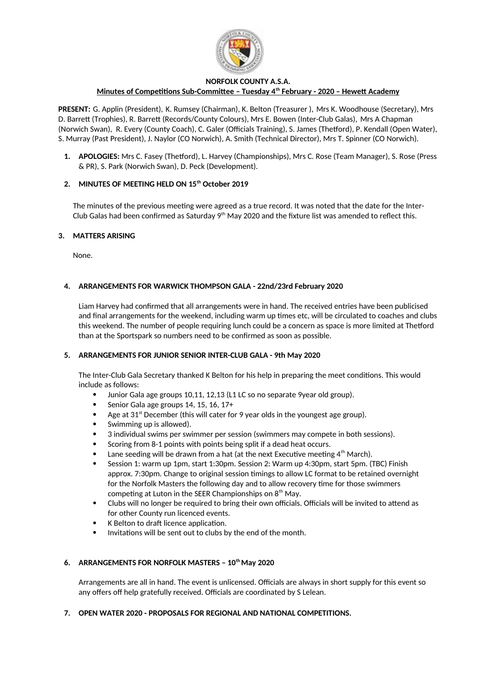

### **NORFOLK COUNTY A.S.A.**

# **Minutes of Competitions Sub-Committee – Tuesday 4th February - 2020 – Hewett Academy**

**PRESENT:** G. Applin (President), K. Rumsey (Chairman), K. Belton (Treasurer ), Mrs K. Woodhouse (Secretary), Mrs D. Barrett (Trophies), R. Barrett (Records/County Colours), Mrs E. Bowen (Inter-Club Galas), Mrs A Chapman (Norwich Swan), R. Every (County Coach), C. Galer (Officials Training), S. James (Thetford), P. Kendall (Open Water), S. Murray (Past President), J. Naylor (CO Norwich), A. Smith (Technical Director), Mrs T. Spinner (CO Norwich).

**1. APOLOGIES:** Mrs C. Fasey (Thetford), L. Harvey (Championships), Mrs C. Rose (Team Manager), S. Rose (Press & PR), S. Park (Norwich Swan), D. Peck (Development).

# **2. MINUTES OF MEETING HELD ON 15th October 2019**

The minutes of the previous meeting were agreed as a true record. It was noted that the date for the Inter-Club Galas had been confirmed as Saturday  $9<sup>th</sup>$  May 2020 and the fixture list was amended to reflect this.

### **3. MATTERS ARISING**

None.

# **4. ARRANGEMENTS FOR WARWICK THOMPSON GALA - 22nd/23rd February 2020**

Liam Harvey had confirmed that all arrangements were in hand. The received entries have been publicised and final arrangements for the weekend, including warm up times etc, will be circulated to coaches and clubs this weekend. The number of people requiring lunch could be a concern as space is more limited at Thetford than at the Sportspark so numbers need to be confirmed as soon as possible.

### **5. ARRANGEMENTS FOR JUNIOR SENIOR INTER-CLUB GALA - 9th May 2020**

The Inter-Club Gala Secretary thanked K Belton for his help in preparing the meet conditions. This would include as follows:

- Junior Gala age groups 10,11, 12,13 (L1 LC so no separate 9year old group).
- Senior Gala age groups 14, 15, 16, 17+
- Age at  $31<sup>st</sup>$  December (this will cater for 9 year olds in the youngest age group).
- Swimming up is allowed).
- 3 individual swims per swimmer per session (swimmers may compete in both sessions).
- Scoring from 8-1 points with points being split if a dead heat occurs.
- Lane seeding will be drawn from a hat (at the next Executive meeting  $4<sup>th</sup>$  March).
- Session 1: warm up 1pm, start 1:30pm. Session 2: Warm up 4:30pm, start 5pm. (TBC) Finish approx. 7:30pm. Change to original session timings to allow LC format to be retained overnight for the Norfolk Masters the following day and to allow recovery time for those swimmers competing at Luton in the SEER Championships on  $8<sup>th</sup>$  May.
- Clubs will no longer be required to bring their own officials. Officials will be invited to attend as for other County run licenced events.
- K Belton to draft licence application.
- Invitations will be sent out to clubs by the end of the month.

### **6. ARRANGEMENTS FOR NORFOLK MASTERS – 10th May 2020**

Arrangements are all in hand. The event is unlicensed. Officials are always in short supply for this event so any offers off help gratefully received. Officials are coordinated by S Lelean.

### **7. OPEN WATER 2020 - PROPOSALS FOR REGIONAL AND NATIONAL COMPETITIONS.**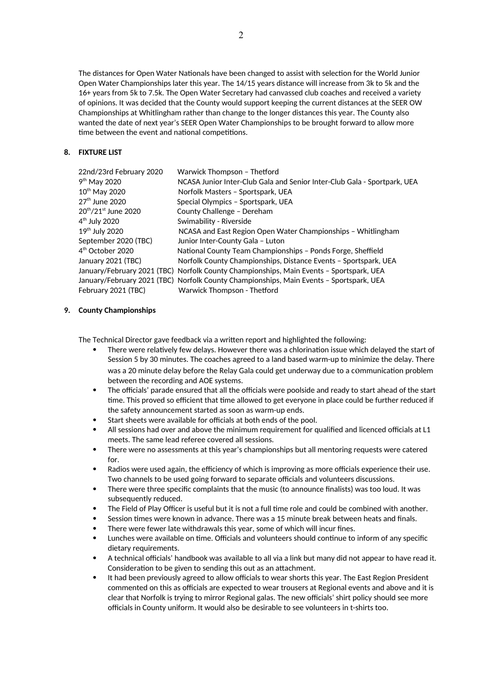The distances for Open Water Nationals have been changed to assist with selection for the World Junior Open Water Championships later this year. The 14/15 years distance will increase from 3k to 5k and the 16+ years from 5k to 7.5k. The Open Water Secretary had canvassed club coaches and received a variety of opinions. It was decided that the County would support keeping the current distances at the SEER OW Championships at Whitlingham rather than change to the longer distances this year. The County also wanted the date of next year's SEER Open Water Championships to be brought forward to allow more time between the event and national competitions.

### **8. FIXTURE LIST**

| 22nd/23rd February 2020                      | Warwick Thompson - Thetford                                                             |
|----------------------------------------------|-----------------------------------------------------------------------------------------|
| 9 <sup>th</sup> May 2020                     | NCASA Junior Inter-Club Gala and Senior Inter-Club Gala - Sportpark, UEA                |
| 10 <sup>th</sup> May 2020                    | Norfolk Masters - Sportspark, UEA                                                       |
| $27th$ June 2020                             | Special Olympics - Sportspark, UEA                                                      |
| 20 <sup>th</sup> /21 <sup>st</sup> June 2020 | County Challenge - Dereham                                                              |
| $4th$ July 2020                              | Swimability - Riverside                                                                 |
| 19 <sup>th</sup> July 2020                   | NCASA and East Region Open Water Championships - Whitlingham                            |
| September 2020 (TBC)                         | Junior Inter-County Gala - Luton                                                        |
| 4 <sup>th</sup> October 2020                 | National County Team Championships - Ponds Forge, Sheffield                             |
| January 2021 (TBC)                           | Norfolk County Championships, Distance Events - Sportspark, UEA                         |
|                                              | January/February 2021 (TBC) Norfolk County Championships, Main Events - Sportspark, UEA |
|                                              | January/February 2021 (TBC) Norfolk County Championships, Main Events - Sportspark, UEA |
| February 2021 (TBC)                          | Warwick Thompson - Thetford                                                             |

# **9. County Championships**

The Technical Director gave feedback via a written report and highlighted the following:

- There were relatively few delays. However there was a chlorination issue which delayed the start of Session 5 by 30 minutes. The coaches agreed to a land based warm-up to minimize the delay. There was a 20 minute delay before the Relay Gala could get underway due to a communication problem between the recording and AOE systems.
- The officials' parade ensured that all the officials were poolside and ready to start ahead of the start time. This proved so efficient that time allowed to get everyone in place could be further reduced if the safety announcement started as soon as warm-up ends.
- Start sheets were available for officials at both ends of the pool.
- All sessions had over and above the minimum requirement for qualified and licenced officials at L1 meets. The same lead referee covered all sessions.
- There were no assessments at this year's championships but all mentoring requests were catered for.
- Radios were used again, the efficiency of which is improving as more officials experience their use. Two channels to be used going forward to separate officials and volunteers discussions.
- There were three specific complaints that the music (to announce finalists) was too loud. It was subsequently reduced.
- The Field of Play Officer is useful but it is not a full time role and could be combined with another.
- Session times were known in advance. There was a 15 minute break between heats and finals.
- There were fewer late withdrawals this year, some of which will incur fines.
- Lunches were available on time. Officials and volunteers should continue to inform of any specific dietary requirements.
- A technical officials' handbook was available to all via a link but many did not appear to have read it. Consideration to be given to sending this out as an attachment.
- It had been previously agreed to allow officials to wear shorts this year. The East Region President commented on this as officials are expected to wear trousers at Regional events and above and it is clear that Norfolk is trying to mirror Regional galas. The new officials' shirt policy should see more officials in County uniform. It would also be desirable to see volunteers in t-shirts too.